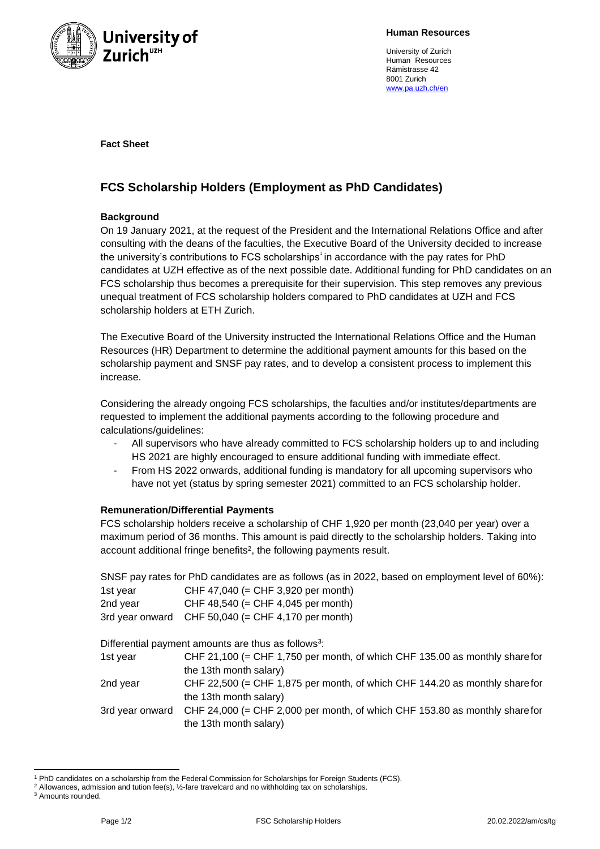

**Human Resources**

University of Zurich Human Resources Rämistrasse 42 8001 Zurich [www.pa.uzh.ch/en](http://www.pa.uzh.ch/en)

**Fact Sheet**

# **FCS Scholarship Holders (Employment as PhD Candidates)**

### **Background**

On 19 January 2021, at the request of the President and the International Relations Office and after consulting with the deans of the faculties, the Executive Board of the University decided to increase the university's contributions to FCS scholarships<sup>t</sup> in accordance with the pay rates for PhD candidates at UZH effective as of the next possible date. Additional funding for PhD candidates on an FCS scholarship thus becomes a prerequisite for their supervision. This step removes any previous unequal treatment of FCS scholarship holders compared to PhD candidates at UZH and FCS scholarship holders at ETH Zurich.

The Executive Board of the University instructed the International Relations Office and the Human Resources (HR) Department to determine the additional payment amounts for this based on the scholarship payment and SNSF pay rates, and to develop a consistent process to implement this increase.

Considering the already ongoing FCS scholarships, the faculties and/or institutes/departments are requested to implement the additional payments according to the following procedure and calculations/guidelines:

- All supervisors who have already committed to FCS scholarship holders up to and including HS 2021 are highly encouraged to ensure additional funding with immediate effect.
- From HS 2022 onwards, additional funding is mandatory for all upcoming supervisors who have not yet (status by spring semester 2021) committed to an FCS scholarship holder.

## **Remuneration/Differential Payments**

FCS scholarship holders receive a scholarship of CHF 1,920 per month (23,040 per year) over a maximum period of 36 months. This amount is paid directly to the scholarship holders. Taking into account additional fringe benefits<sup>2</sup>, the following payments result.

SNSF pay rates for PhD candidates are as follows (as in 2022, based on employment level of 60%): 1st year CHF 47,040 (= CHF 3,920 per month) 2nd year CHF 48,540 (= CHF 4,045 per month) 3rd year onward CHF 50,040 (= CHF 4,170 per month) Differential payment amounts are thus as follows<sup>3</sup>: 1st year CHF 21,100 (= CHF 1,750 per month, of which CHF 135.00 as monthly sharefor the 13th month salary) 2nd year CHF 22,500 (= CHF 1,875 per month, of which CHF 144.20 as monthly sharefor the 13th month salary) 3rd year onward CHF 24,000 (= CHF 2,000 per month, of which CHF 153.80 as monthly sharefor the 13th month salary)

<sup>1</sup> PhD candidates on a scholarship from the Federal Commission for Scholarships for Foreign Students (FCS).

<sup>2</sup> Allowances, admission and tution fee(s), ½-fare travelcard and no withholding tax on scholarships.

<sup>3</sup> Amounts rounded.